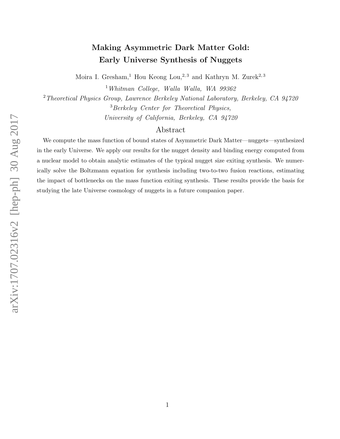# Making Asymmetric Dark Matter Gold: Early Universe Synthesis of Nuggets

Moira I. Gresham,<sup>1</sup> Hou Keong Lou,<sup>2,3</sup> and Kathryn M. Zurek<sup>2,3</sup>

<sup>1</sup>Whitman College, Walla Walla, WA 99362

<sup>2</sup> Theoretical Physics Group, Lawrence Berkeley National Laboratory, Berkeley, CA 94720 <sup>3</sup>Berkeley Center for Theoretical Physics, University of California, Berkeley, CA 94720

# Abstract

We compute the mass function of bound states of Asymmetric Dark Matter—nuggets—synthesized in the early Universe. We apply our results for the nugget density and binding energy computed from a nuclear model to obtain analytic estimates of the typical nugget size exiting synthesis. We numerically solve the Boltzmann equation for synthesis including two-to-two fusion reactions, estimating the impact of bottlenecks on the mass function exiting synthesis. These results provide the basis for studying the late Universe cosmology of nuggets in a future companion paper.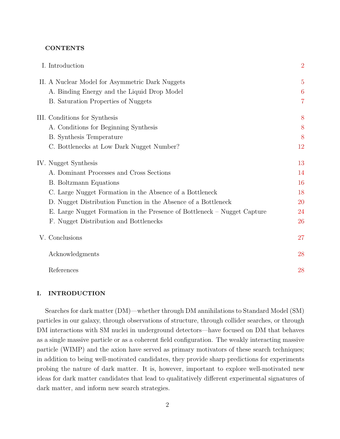## **CONTENTS**

| I. Introduction                                                          | $\overline{2}$ |
|--------------------------------------------------------------------------|----------------|
| II. A Nuclear Model for Asymmetric Dark Nuggets                          | $\overline{5}$ |
| A. Binding Energy and the Liquid Drop Model                              | 6              |
| <b>B.</b> Saturation Properties of Nuggets                               | $\overline{7}$ |
| III. Conditions for Synthesis                                            | 8              |
| A. Conditions for Beginning Synthesis                                    | 8              |
| <b>B.</b> Synthesis Temperature                                          | 8              |
| C. Bottlenecks at Low Dark Nugget Number?                                | 12             |
| IV. Nugget Synthesis                                                     | 13             |
| A. Dominant Processes and Cross Sections                                 | 14             |
| <b>B.</b> Boltzmann Equations                                            | 16             |
| C. Large Nugget Formation in the Absence of a Bottleneck                 | 18             |
| D. Nugget Distribution Function in the Absence of a Bottleneck           | 20             |
| E. Large Nugget Formation in the Presence of Bottleneck – Nugget Capture | 24             |
| F. Nugget Distribution and Bottlenecks                                   | 26             |
| V. Conclusions                                                           | 27             |
| Acknowledgments                                                          | 28             |
| References                                                               | 28             |

# <span id="page-1-0"></span>I. INTRODUCTION

Searches for dark matter (DM)—whether through DM annihilations to Standard Model (SM) particles in our galaxy, through observations of structure, through collider searches, or through DM interactions with SM nuclei in underground detectors—have focused on DM that behaves as a single massive particle or as a coherent field configuration. The weakly interacting massive particle (WIMP) and the axion have served as primary motivators of these search techniques; in addition to being well-motivated candidates, they provide sharp predictions for experiments probing the nature of dark matter. It is, however, important to explore well-motivated new ideas for dark matter candidates that lead to qualitatively different experimental signatures of dark matter, and inform new search strategies.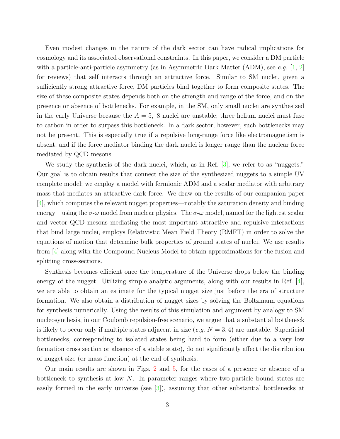Even modest changes in the nature of the dark sector can have radical implications for cosmology and its associated observational constraints. In this paper, we consider a DM particle with a particle-anti-particle asymmetry (as in Asymmetric Dark Matter (ADM), see e.g.  $[1, 2]$  $[1, 2]$  $[1, 2]$ for reviews) that self interacts through an attractive force. Similar to SM nuclei, given a sufficiently strong attractive force, DM particles bind together to form composite states. The size of these composite states depends both on the strength and range of the force, and on the presence or absence of bottlenecks. For example, in the SM, only small nuclei are synthesized in the early Universe because the  $A = 5$ , 8 nuclei are unstable; three helium nuclei must fuse to carbon in order to surpass this bottleneck. In a dark sector, however, such bottlenecks may not be present. This is especially true if a repulsive long-range force like electromagnetism is absent, and if the force mediator binding the dark nuclei is longer range than the nuclear force mediated by QCD mesons.

We study the synthesis of the dark nuclei, which, as in Ref. [\[3\]](#page-28-0), we refer to as "nuggets." Our goal is to obtain results that connect the size of the synthesized nuggets to a simple UV complete model; we employ a model with fermionic ADM and a scalar mediator with arbitrary mass that mediates an attractive dark force. We draw on the results of our companion paper [\[4\]](#page-28-1), which computes the relevant nugget properties—notably the saturation density and binding energy—using the  $\sigma-\omega$  model from nuclear physics. The  $\sigma-\omega$  model, named for the lightest scalar and vector QCD mesons mediating the most important attractive and repulsive interactions that bind large nuclei, employs Relativistic Mean Field Theory (RMFT) in order to solve the equations of motion that determine bulk properties of ground states of nuclei. We use results from [\[4\]](#page-28-1) along with the Compound Nucleus Model to obtain approximations for the fusion and splitting cross-sections.

Synthesis becomes efficient once the temperature of the Universe drops below the binding energy of the nugget. Utilizing simple analytic arguments, along with our results in Ref. [\[4\]](#page-28-1), we are able to obtain an estimate for the typical nugget size just before the era of structure formation. We also obtain a distribution of nugget sizes by solving the Boltzmann equations for synthesis numerically. Using the results of this simulation and argument by analogy to SM nucleosynthesis, in our Coulomb repulsion-free scenario, we argue that a substantial bottleneck is likely to occur only if multiple states adjacent in size (e.g.  $N = 3, 4$ ) are unstable. Superficial bottlenecks, corresponding to isolated states being hard to form (either due to a very low formation cross section or absence of a stable state), do not significantly affect the distribution of nugget size (or mass function) at the end of synthesis.

Our main results are shown in Figs. [2](#page-20-0) and [5,](#page-25-1) for the cases of a presence or absence of a bottleneck to synthesis at low  $N$ . In parameter ranges where two-particle bound states are easily formed in the early universe (see [\[3\]](#page-28-0)), assuming that other substantial bottlenecks at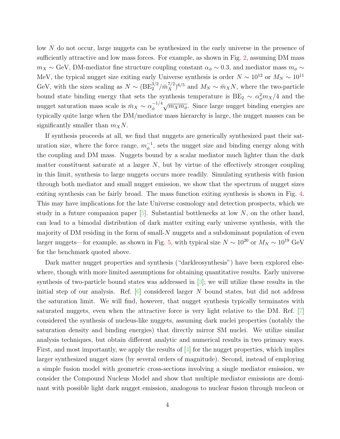low N do not occur, large nuggets can be synthesized in the early universe in the presence of sufficiently attractive and low mass forces. For example, as shown in Fig. [2,](#page-20-0) assuming DM mass  $m_X \sim$  GeV, DM-mediator fine structure coupling constant  $\alpha_{\phi} \sim 0.3$ , and mediator mass  $m_{\phi} \sim$ MeV, the typical nugget size exiting early Universe synthesis is order  $N \sim 10^{12}$  or  $M_N \sim 10^{11}$ GeV, with the sizes scaling as  $N \sim (BE_2^{3/2}/\bar{m}_X^{7/2})^{6/5}$  and  $M_N \sim \bar{m}_X N$ , where the two-particle bound state binding energy that sets the synthesis temperature is  $BE_2 \sim \alpha_\phi^2 m_X/4$  and the nugget saturation mass scale is  $\bar{m}_X \sim \alpha_{\phi}^{-1/4}$  $\sqrt{\frac{1}{4}}\sqrt{m_X m_\phi}$ . Since large nugget binding energies are typically quite large when the DM/mediator mass hierarchy is large, the nugget masses can be significantly smaller than  $m_XN$ .

If synthesis proceeds at all, we find that nuggets are generically synthesized past their saturation size, where the force range,  $m_{\phi}^{-1}$ , sets the nugget size and binding energy along with the coupling and DM mass. Nuggets bound by a scalar mediator much lighter than the dark matter constituent saturate at a larger  $N$ , but by virtue of the effectively stronger coupling in this limit, synthesis to large nuggets occurs more readily. Simulating synthesis with fusion through both mediator and small nugget emission, we show that the spectrum of nugget sizes exiting synthesis can be fairly broad. The mass function exiting synthesis is shown in Fig. [4.](#page-23-1) This may have implications for the late Universe cosmology and detection prospects, which we study in a future companion paper  $[5]$ . Substantial bottlenecks at low N, on the other hand, can lead to a bimodal distribution of dark matter exiting early universe synthesis, with the majority of DM residing in the form of small-N nuggets and a subdominant population of even larger nuggets—for example, as shown in Fig. [5,](#page-25-1) with typical size  $N \sim 10^{20}$  or  $M_N \sim 10^{19}$  GeV for the benchmark quoted above.

Dark matter nugget properties and synthesis ("darkleosynthesis") have been explored elsewhere, though with more limited assumptions for obtaining quantitative results. Early universe synthesis of two-particle bound states was addressed in [\[3\]](#page-28-0); we will utilize these results in the initial step of our analysis. Ref.  $[6]$  considered larger N bound states, but did not address the saturation limit. We will find, however, that nugget synthesis typically terminates with saturated nuggets, even when the attractive force is very light relative to the DM. Ref. [\[7\]](#page-28-4) considered the synthesis of nucleus-like nuggets, assuming dark nuclei properties (notably the saturation density and binding energies) that directly mirror SM nuclei. We utilize similar analysis techniques, but obtain different analytic and numerical results in two primary ways. First, and most importantly, we apply the results of  $\left[4\right]$  for the nugget properties, which implies larger synthesized nugget sizes (by several orders of magnitude). Second, instead of employing a simple fusion model with geometric cross-sections involving a single mediator emission, we consider the Compound Nucleus Model and show that multiple mediator emissions are dominant with possible light dark nugget emission, analogous to nuclear fusion through nucleon or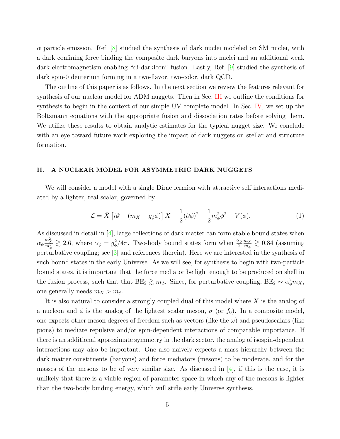$\alpha$  particle emission. Ref.  $[8]$  studied the synthesis of dark nuclei modeled on SM nuclei, with a dark confining force binding the composite dark baryons into nuclei and an additional weak dark electromagnetism enabling "di-darkleon" fusion. Lastly, Ref. [\[9\]](#page-28-6) studied the synthesis of dark spin-0 deuterium forming in a two-flavor, two-color, dark QCD.

The outline of this paper is as follows. In the next section we review the features relevant for synthesis of our nuclear model for ADM nuggets. Then in Sec. [III](#page-7-0) we outline the conditions for synthesis to begin in the context of our simple UV complete model. In Sec. [IV,](#page-12-0) we set up the Boltzmann equations with the appropriate fusion and dissociation rates before solving them. We utilize these results to obtain analytic estimates for the typical nugget size. We conclude with an eye toward future work exploring the impact of dark nuggets on stellar and structure formation.

### <span id="page-4-0"></span>II. A NUCLEAR MODEL FOR ASYMMETRIC DARK NUGGETS

We will consider a model with a single Dirac fermion with attractive self interactions mediated by a lighter, real scalar, governed by

$$
\mathcal{L} = \bar{X} \left[ i\partial \hspace{-0.5em}/ - (m_X - g_\phi \phi) \right] X + \frac{1}{2} (\partial \phi)^2 - \frac{1}{2} m_\phi^2 \phi^2 - V(\phi). \tag{1}
$$

As discussed in detail in [\[4\]](#page-28-1), large collections of dark matter can form stable bound states when  $\alpha_{\phi} \frac{m_{\chi}^2}{m_{\phi}^2} \gtrsim 2.6$ , where  $\alpha_{\phi} = g_{\phi}^2/4\pi$ . Two-body bound states form when  $\frac{\alpha_{\phi}}{2}$  $\frac{m_X}{m_X}$  $\frac{m_X}{m_\phi} \gtrsim 0.84$  (assuming perturbative coupling; see [\[3\]](#page-28-0) and references therein). Here we are interested in the synthesis of such bound states in the early Universe. As we will see, for synthesis to begin with two-particle bound states, it is important that the force mediator be light enough to be produced on shell in the fusion process, such that that  $BE_2 \gtrsim m_\phi$ . Since, for perturbative coupling,  $BE_2 \sim \alpha_\phi^2 m_X$ , one generally needs  $m_X > m_\phi$ .

It is also natural to consider a strongly coupled dual of this model where X is the analog of a nucleon and  $\phi$  is the analog of the lightest scalar meson,  $\sigma$  (or  $f_0$ ). In a composite model, one expects other meson degrees of freedom such as vectors (like the  $\omega$ ) and pseudoscalars (like pions) to mediate repulsive and/or spin-dependent interactions of comparable importance. If there is an additional approximate symmetry in the dark sector, the analog of isospin-dependent interactions may also be important. One also naively expects a mass hierarchy between the dark matter constituents (baryons) and force mediators (mesons) to be moderate, and for the masses of the mesons to be of very similar size. As discussed in  $[4]$ , if this is the case, it is unlikely that there is a viable region of parameter space in which any of the mesons is lighter than the two-body binding energy, which will stifle early Universe synthesis.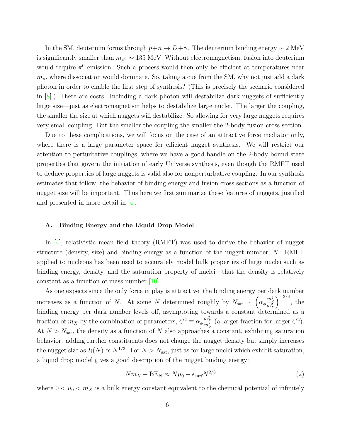In the SM, deuterium forms through  $p+n \to D+\gamma$ . The deuterium binding energy  $\sim 2 \text{ MeV}$ is significantly smaller than  $m_{\pi^0} \sim 135$  MeV. Without electromagnetism, fusion into deuterium would require  $\pi^0$  emission. Such a process would then only be efficient at temperatures near  $m_{\pi}$ , where dissociation would dominate. So, taking a cue from the SM, why not just add a dark photon in order to enable the first step of synthesis? (This is precisely the scenario considered in  $[8]$ .) There are costs. Including a dark photon will destabilize dark nuggets of sufficiently large size—just as electromagnetism helps to destabilize large nuclei. The larger the coupling, the smaller the size at which nuggets will destabilize. So allowing for very large nuggets requires very small coupling. But the smaller the coupling the smaller the 2-body fusion cross section.

Due to these complications, we will focus on the case of an attractive force mediator only, where there is a large parameter space for efficient nugget synthesis. We will restrict our attention to perturbative couplings, where we have a good handle on the 2-body bound state properties that govern the initiation of early Universe synthesis, even though the RMFT used to deduce properties of large nuggets is valid also for nonperturbative coupling. In our synthesis estimates that follow, the behavior of binding energy and fusion cross sections as a function of nugget size will be important. Thus here we first summarize these features of nuggets, justified and presented in more detail in [\[4\]](#page-28-1).

## <span id="page-5-0"></span>A. Binding Energy and the Liquid Drop Model

In  $[4]$ , relativistic mean field theory (RMFT) was used to derive the behavior of nugget structure (density, size) and binding energy as a function of the nugget number, N. RMFT applied to nucleons has been used to accurately model bulk properties of large nuclei such as binding energy, density, and the saturation property of nuclei—that the density is relatively constant as a function of mass number [\[10\]](#page-28-7).

As one expects since the only force in play is attractive, the binding energy per dark number increases as a function of N. At some N determined roughly by  $N_{\text{sat}} \sim \left(\alpha_{\phi} \frac{m_{\phi}^2}{m_X^2}\right)$  $\int^{-3/4}$ , the binding energy per dark number levels off, asymptoting towards a constant determined as a fraction of  $m_X$  by the combination of parameters,  $C^2 \equiv \alpha_\phi \frac{m_X^2}{m_\phi^2}$  (a larger fraction for larger  $C^2$ ). At  $N > N<sub>sat</sub>$ , the density as a function of N also approaches a constant, exhibiting saturation behavior: adding further constituents does not change the nugget density but simply increases the nugget size as  $R(N) \propto N^{1/3}$ . For  $N > N_{\text{sat}}$ , just as for large nuclei which exhibit saturation, a liquid drop model gives a good description of the nugget binding energy:

<span id="page-5-1"></span>
$$
Nm_X - BE_N \approx N\mu_0 + \epsilon_{\rm surf} N^{2/3}
$$
\n(2)

where  $0 < \mu_0 < m_X$  is a bulk energy constant equivalent to the chemical potential of infinitely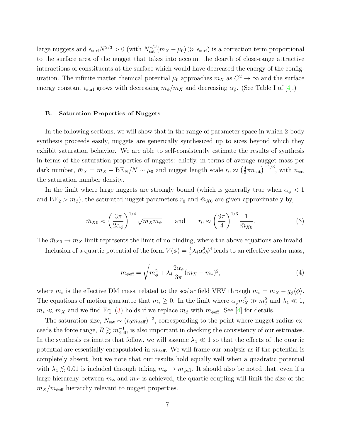large nuggets and  $\epsilon_{\text{surf}}N^{2/3} > 0$  (with  $N_{\text{sat}}^{1/3}(m_X - \mu_0) \gg \epsilon_{\text{surf}}$ ) is a correction term proportional to the surface area of the nugget that takes into account the dearth of close-range attractive interactions of constituents at the surface which would have decreased the energy of the configuration. The infinite matter chemical potential  $\mu_0$  approaches  $m_X$  as  $C^2 \to \infty$  and the surface energy constant  $\epsilon_{\text{surf}}$  grows with decreasing  $m_{\phi}/m_X$  and decreasing  $\alpha_{\phi}$ . (See Table I of [\[4\]](#page-28-1).)

## <span id="page-6-0"></span>B. Saturation Properties of Nuggets

In the following sections, we will show that in the range of parameter space in which 2-body synthesis proceeds easily, nuggets are generically synthesized up to sizes beyond which they exhibit saturation behavior. We are able to self-consistently estimate the results of synthesis in terms of the saturation properties of nuggets: chiefly, in terms of average nugget mass per dark number,  $\bar{m}_X = m_X - \text{BE}_N/N \sim \mu_0$  and nugget length scale  $r_0 \approx \left(\frac{4}{3}\right)$  $(\frac{4}{3}\pi n_{\text{sat}})^{-1/3}$ , with  $n_{\text{sat}}$ the saturation number density.

In the limit where large nuggets are strongly bound (which is generally true when  $\alpha_{\phi} < 1$ and  $BE_2 > m_\phi$ ), the saturated nugget parameters  $r_0$  and  $\bar{m}_{X0}$  are given approximately by,

<span id="page-6-1"></span>
$$
\bar{m}_{X0} \approx \left(\frac{3\pi}{2\alpha_{\phi}}\right)^{1/4} \sqrt{m_X m_{\phi}} \quad \text{and} \quad r_0 \approx \left(\frac{9\pi}{4}\right)^{1/3} \frac{1}{\bar{m}_{X0}}.\tag{3}
$$

The  $\bar{m}_{X0} \to m_X$  limit represents the limit of no binding, where the above equations are invalid. Inclusion of a quartic potential of the form  $V(\phi) = \frac{4}{3}\lambda_4\alpha_{\phi}^2\phi^4$  leads to an effective scalar mass,

$$
m_{\phi \text{eff}} = \sqrt{m_{\phi}^2 + \lambda_4 \frac{2\alpha_{\phi}}{3\pi} (m_X - m_*)^2},\tag{4}
$$

where  $m_*$  is the effective DM mass, related to the scalar field VEV through  $m_* = m_X - g_\phi \langle \phi \rangle$ . The equations of motion guarantee that  $m_* \geq 0$ . In the limit where  $\alpha_{\phi} m_X^2 \gg m_{\phi}^2$  and  $\lambda_4 \ll 1$ ,  $m_* \ll m_X$  and we find Eq. [\(3\)](#page-6-1) holds if we replace  $m_\phi$  with  $m_{\phi\text{eff}}$ . See [\[4\]](#page-28-1) for details.

The saturation size,  $N_{\text{sat}} \sim (r_0 m_{\phi \text{eff}})^{-3}$ , corresponding to the point where nugget radius exceeds the force range,  $R \gtrsim m_{\text{def}}^{-1}$ , is also important in checking the consistency of our estimates. In the synthesis estimates that follow, we will assume  $\lambda_4 \ll 1$  so that the effects of the quartic potential are essentially encapsulated in  $m_{\phi$ eff. We will frame our analysis as if the potential is completely absent, but we note that our results hold equally well when a quadratic potential with  $\lambda_4 \lesssim 0.01$  is included through taking  $m_{\phi} \to m_{\phi \text{eff}}$ . It should also be noted that, even if a large hierarchy between  $m_{\phi}$  and  $m_X$  is achieved, the quartic coupling will limit the size of the  $m_X/m_{\text{eff}}$  hierarchy relevant to nugget properties.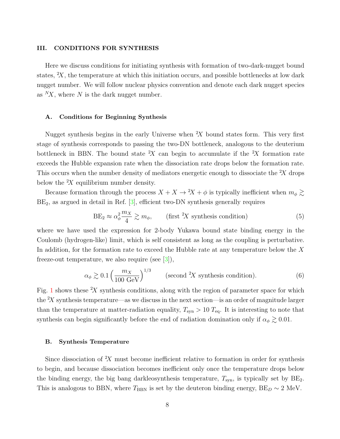#### <span id="page-7-0"></span>III. CONDITIONS FOR SYNTHESIS

Here we discuss conditions for initiating synthesis with formation of two-dark-nugget bound states,  $X$ , the temperature at which this initiation occurs, and possible bottlenecks at low dark nugget number. We will follow nuclear physics convention and denote each dark nugget species as  ${}^N\!X$ , where N is the dark nugget number.

#### <span id="page-7-1"></span>A. Conditions for Beginning Synthesis

Nugget synthesis begins in the early Universe when  $X$  bound states form. This very first stage of synthesis corresponds to passing the two-DN bottleneck, analogous to the deuterium bottleneck in BBN. The bound state  $X$  can begin to accumulate if the  $X$  formation rate exceeds the Hubble expansion rate when the dissociation rate drops below the formation rate. This occurs when the number density of mediators energetic enough to dissociate the  $X$  drops below the  $X$  equilibrium number density.

Because formation through the process  $X + X \to 2X + \phi$  is typically inefficient when  $m_{\phi} \gtrsim$  $BE<sub>2</sub>$ , as argued in detail in Ref.  $[3]$ , efficient two-DN synthesis generally requires

<span id="page-7-4"></span>
$$
BE_2 \approx \alpha_\phi^2 \frac{m_X}{4} \gtrsim m_\phi, \qquad \text{(first }^2 \text{X synthesis condition)} \tag{5}
$$

where we have used the expression for 2-body Yukawa bound state binding energy in the Coulomb (hydrogen-like) limit, which is self consistent as long as the coupling is perturbative. In addition, for the formation rate to exceed the Hubble rate at any temperature below the X freeze-out temperature, we also require (see [\[3\]](#page-28-0)),

<span id="page-7-3"></span>
$$
\alpha_{\phi} \gtrsim 0.1 \left(\frac{m_X}{100 \text{ GeV}}\right)^{1/3} \qquad \text{(second }^2 \text{X synthesis condition)}.
$$
 (6)

Fig. [1](#page-8-0) shows these  $X$  synthesis conditions, along with the region of parameter space for which the  $X$  synthesis temperature—as we discuss in the next section—is an order of magnitude larger than the temperature at matter-radiation equality,  $T_{syn} > 10 T_{eq}$ . It is interesting to note that synthesis can begin significantly before the end of radiation domination only if  $\alpha_{\phi} \gtrsim 0.01$ .

#### <span id="page-7-2"></span>B. Synthesis Temperature

Since dissociation of  ${}^{2}X$  must become inefficient relative to formation in order for synthesis to begin, and because dissociation becomes inefficient only once the temperature drops below the binding energy, the big bang darkleosynthesis temperature,  $T_{syn}$ , is typically set by  $BE_2$ . This is analogous to BBN, where  $T_{\text{BBN}}$  is set by the deuteron binding energy,  $BE_D \sim 2 \text{ MeV}$ .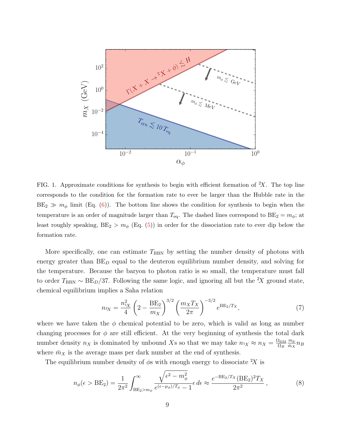

<span id="page-8-0"></span>FIG. 1. Approximate conditions for synthesis to begin with efficient formation of  ${}^2X$ . The top line corresponds to the condition for the formation rate to ever be larger than the Hubble rate in the  $BE_2 \gg m_\phi$  limit (Eq. [\(6\)](#page-7-3)). The bottom line shows the condition for synthesis to begin when the temperature is an order of magnitude larger than  $T_{eq}$ . The dashed lines correspond to  $BE_2 = m_\phi$ ; at least roughly speaking,  $BE_2 > m_\phi$  (Eq. [\(5\)](#page-7-4)) in order for the dissociation rate to ever dip below the formation rate.

More specifically, one can estimate  $T_{\rm BBN}$  by setting the number density of photons with energy greater than  $BE_D$  equal to the deuteron equilibrium number density, and solving for the temperature. Because the baryon to photon ratio is so small, the temperature must fall to order  $T_{\text{BBN}} \sim BE_D/37$ . Following the same logic, and ignoring all but the <sup>2</sup>X ground state, chemical equilibrium implies a Saha relation

$$
n_{2X} = \frac{n_{1X}^2}{4} \left( 2 - \frac{\text{BE}_2}{m_X} \right)^{3/2} \left( \frac{m_X T_X}{2\pi} \right)^{-3/2} e^{\text{BE}_2/T_X},\tag{7}
$$

where we have taken the  $\phi$  chemical potential to be zero, which is valid as long as number changing processes for  $\phi$  are still efficient. At the very beginning of synthesis the total dark number density  $n_X$  is dominated by unbound Xs so that we may take  $n_X \approx n_X = \frac{\Omega_{DM}}{\Omega_B}$  $\Omega_B$  $m_p$  $\frac{m_p}{\bar{m}_X} n_B$ where  $\bar{m}_X$  is the average mass per dark number at the end of synthesis.

The equilibrium number density of  $\phi$ s with enough energy to dissociate  ${}^{2}X$  is

$$
n_{\phi}(\epsilon > \text{BE}_2) = \frac{1}{2\pi^2} \int_{\text{BE}_2 > m_{\phi}}^{\infty} \frac{\sqrt{\epsilon^2 - m_{\phi}^2}}{e^{(\epsilon - \mu_{\phi})/T_{\phi}} - 1} \epsilon \, d\epsilon \approx \frac{e^{-\text{BE}_2/T_X} (\text{BE}_2)^2 T_X}{2\pi^2},\tag{8}
$$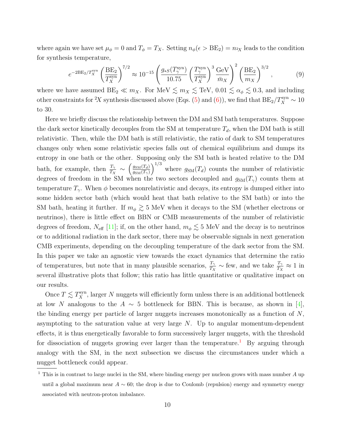where again we have set  $\mu_{\phi} = 0$  and  $T_{\phi} = T_X$ . Setting  $n_{\phi}(\epsilon > BE_2) = n_{2X}$  leads to the condition for synthesis temperature,

$$
e^{-2BE_2/T_X^{\text{syn}}} \left(\frac{BE_2}{T_X^{\text{syn}}}\right)^{7/2} \approx 10^{-15} \left(\frac{g_{*S}(T_\gamma^{\text{syn}})}{10.75} \left(\frac{T_\gamma^{\text{syn}}}{T_X^{\text{syn}}}\right)^3 \frac{\text{GeV}}{\bar{m}_X}\right)^2 \left(\frac{BE_2}{m_X}\right)^{3/2},\tag{9}
$$

where we have assumed  $BE_2 \ll m_X$ . For MeV  $\lesssim m_X \lesssim$  TeV, 0.01  $\lesssim \alpha_{\phi} \lesssim 0.3$ , and including other constraints for <sup>2</sup>X synthesis discussed above (Eqs. [\(5\)](#page-7-4) and [\(6\)](#page-7-3)), we find that  $BE_2/T_X^{\text{syn}} \sim 10$ to 30.

Here we briefly discuss the relationship between the DM and SM bath temperatures. Suppose the dark sector kinetically decouples from the SM at temperature  $T_d$ , when the DM bath is still relativistic. Then, while the DM bath is still relativistic, the ratio of dark to SM temperatures changes only when some relativistic species falls out of chemical equilibrium and dumps its entropy in one bath or the other. Supposing only the SM bath is heated relative to the DM bath, for example, then  $\frac{T_{\gamma}}{T_X} \sim$  $\int g_{\rm SM}(T_d)$  $g_{\rm SM}(T_\gamma)$  $\int^{1/3}$  where  $g_{\text{SM}}(T_d)$  counts the number of relativistic degrees of freedom in the SM when the two sectors decoupled and  $g_{\text{SM}}(T_{\gamma})$  counts them at temperature  $T_{\gamma}$ . When  $\phi$  becomes nonrelativistic and decays, its entropy is dumped either into some hidden sector bath (which would heat that bath relative to the SM bath) or into the SM bath, heating it further. If  $m_{\phi} \gtrsim 5$  MeV when it decays to the SM (whether electrons or neutrinos), there is little effect on BBN or CMB measurements of the number of relativistic degrees of freedom,  $N_{\text{eff}}$  [\[11\]](#page-28-8); if, on the other hand,  $m_{\phi} \lesssim 5 \text{ MeV}$  and the decay is to neutrinos or to additional radiation in the dark sector, there may be observable signals in next generation CMB experiments, depending on the decoupling temperature of the dark sector from the SM. In this paper we take an agnostic view towards the exact dynamics that determine the ratio of temperatures, but note that in many plausible scenarios,  $\frac{T_\gamma}{T_X} \sim$  few, and we take  $\frac{T_\gamma}{T_X} \approx 1$  in several illustrative plots that follow; this ratio has little quantitative or qualitative impact on our results.

Once  $T \lesssim T_X^{\text{syn}}$ , larger N nuggets will efficiently form unless there is an additional bottleneck at low N analogous to the  $A \sim 5$  bottleneck for BBN. This is because, as shown in [\[4\]](#page-28-1), the binding energy per particle of larger nuggets increases monotonically as a function of  $N$ , asymptoting to the saturation value at very large  $N$ . Up to angular momentum-dependent effects, it is thus energetically favorable to form successively larger nuggets, with the threshold for dissociation of nuggets growing ever larger than the temperature.<sup>[1](#page-9-0)</sup> By arguing through analogy with the SM, in the next subsection we discuss the circumstances under which a nugget bottleneck could appear.

<span id="page-9-0"></span><sup>&</sup>lt;sup>1</sup> This is in contrast to large nuclei in the SM, where binding energy per nucleon grows with mass number  $A$  up until a global maximum near  $A \sim 60$ ; the drop is due to Coulomb (repulsion) energy and symmetry energy associated with neutron-proton imbalance.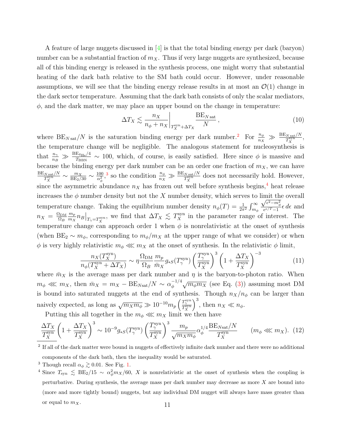A feature of large nuggets discussed in [\[4\]](#page-28-1) is that the total binding energy per dark (baryon) number can be a substantial fraction of  $m<sub>X</sub>$ . Thus if very large nuggets are synthesized, because all of this binding energy is released in the synthesis process, one might worry that substantial heating of the dark bath relative to the SM bath could occur. However, under reasonable assumptions, we will see that the binding energy release results in at most an  $\mathcal{O}(1)$  change in the dark sector temperature. Assuming that the dark bath consists of only the scalar mediators,  $\phi$ , and the dark matter, we may place an upper bound on the change in temperature:

$$
\Delta T_X \lesssim \frac{n_X}{n_\phi + n_X} \bigg|_{T_X^{\text{syn}} + \Delta T_X} \frac{\text{BE}_{N \text{ sat}}}{N},\tag{10}
$$

where  $BE_{N\,\text{sat}}/N$  is the saturation binding energy per dark number.<sup>[2](#page-10-0)</sup> For  $\frac{n_{\phi}}{n_{X}} \gg \frac{BE_{N\,\text{sat}}/N}{T_{X}^{\text{syn}}},$ the temperature change will be negligible. The analogous statement for nucleosynthesis is that  $\frac{n_{\gamma}}{n_{B}} \gg \frac{BE_{4\text{He}}/4}{T_{\text{BBN}}}$  $\frac{\mu_{4\text{He}}}{T_{\text{BBN}}}$  ~ 100, which, of course, is easily satisfied. Here since  $\phi$  is massive and because the binding energy per dark number can be an order one fraction of  $m<sub>X</sub>$ , we can have  $\mathrm{BE}_{N\ \mathrm{sat}}/N$  $\frac{N\,{\rm sat}/N}{T_X^{\rm syn}}\sim \frac{m_X}{\rm BE_2/30}\sim \frac{100}{\alpha_\phi^2}$  $\frac{100}{\alpha_{\phi}^2}$ ,<sup>[3](#page-10-1)</sup> so the condition  $\frac{n_{\phi}}{n_X} \gg \frac{BE_{N \text{ sat}}/N}{T_X^{\text{syn}}}$  does not necessarily hold. However, since the asymmetric abundance  $n<sub>X</sub>$  has frozen out well before synthesis begins,<sup>[4](#page-10-2)</sup> heat release increases the  $\phi$  number density but not the  $X$  number density, which serves to limit the overall temperature change. Taking the equilibrium number density  $n_{\phi}(T) = \frac{1}{2\pi^2} \int_{m_{\phi}}^{\infty}$  $\sqrt{\epsilon^2-m_\phi^2}$  $\frac{e^{-\mu} \phi}{e^{\epsilon/T}-1} \epsilon d\epsilon$  and  $n_X = \frac{\Omega_{\rm DM}}{\Omega_B}$  $\Omega_B$  $m_p$  $\frac{m_p}{m_X} n_B\big|_{T_\gamma = T_X^{\text{syn}}}$ , we find that  $\Delta T_X \lesssim T_X^{\text{syn}}$  in the parameter range of interest. The temperature change can approach order 1 when  $\phi$  is nonrelativistic at the onset of synthesis (when  $BE_2 \sim m_\phi$ , corresponding to  $m_\phi/m_X$  at the upper range of what we consider) or when  $\phi$  is very highly relativistic  $m_{\phi} \ll m_X$  at the onset of synthesis. In the relativistic  $\phi$  limit,

$$
\frac{n_X(T_X^{\text{syn}})}{n_\phi(T_X^{\text{syn}} + \Delta T_X)} \sim \eta \frac{\Omega_{\text{DM}}}{\Omega_B} \frac{m_p}{\bar{m}_X} g_{*S}(T_\gamma^{\text{syn}}) \left(\frac{T_\gamma^{\text{syn}}}{T_X^{\text{syn}}}\right)^3 \left(1 + \frac{\Delta T_X}{T_X^{\text{syn}}}\right)^{-3} \tag{11}
$$

where  $\bar{m}_X$  is the average mass per dark number and  $\eta$  is the baryon-to-photon ratio. When  $m_{\phi} \ll m_X$ , then  $\bar{m}_X = m_X - BE_{N\text{sat}}/N \sim \alpha_{\phi}^{-1/4}$  $\sqrt{\frac{1}{4}}\sqrt{m_{\phi}m_X}$  (see Eq. [\(3\)](#page-6-1)) assuming most DM is bound into saturated nuggets at the end of synthesis. Though  $n_X/n_\phi$  can be larger than naively expected, as long as  $\sqrt{m_X m_\phi} \gg 10^{-10} m_p \left( \frac{T_\gamma^{\rm syn}}{T_X^{\rm syn}} \right)$  $\Big)^3$ , then  $n_X \ll n_\phi$ .

Putting this all together in the  $m_{\phi} \ll m_X$  limit we then have

$$
\frac{\Delta T_X}{T_X^{\text{syn}}} \left( 1 + \frac{\Delta T_X}{T_X^{\text{syn}}} \right)^3 \sim 10^{-9} g_{*S}(T_\gamma^{\text{syn}}) \left( \frac{T_\gamma^{\text{syn}}}{T_X^{\text{syn}}} \right)^3 \frac{m_p}{\sqrt{m_X m_\phi}} \alpha_\phi^{1/4} \frac{\text{BE}_{N\text{sat}}/N}{T_X^{\text{syn}}} \qquad (m_\phi \lll m_X). \tag{12}
$$

<span id="page-10-0"></span><sup>2</sup> If all of the dark matter were bound in nuggets of effectively infinite dark number and there were no additional components of the dark bath, then the inequality would be saturated.

<span id="page-10-2"></span><span id="page-10-1"></span><sup>&</sup>lt;sup>3</sup> Though recall  $\alpha_{\phi} \gtrsim 0.01$ . See Fig. [1.](#page-8-0)

<sup>&</sup>lt;sup>4</sup> Since  $T_{syn} \leq BE_2/15 \sim \alpha_{\phi}^2 m_X/60$ , X is nonrelativistic at the onset of synthesis when the coupling is perturbative. During synthesis, the average mass per dark number may decrease as more X are bound into (more and more tightly bound) nuggets, but any individual DM nugget will always have mass greater than or equal to  $m_X$ .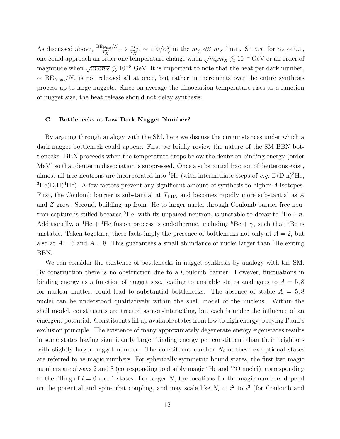As discussed above,  $\frac{BE_{Nsat}/N}{T_X^{syn}} \to \frac{m_X}{T_X^{syn}} \sim 100/\alpha_{\phi}^2$  in the  $m_{\phi} \ll m_X$  limit. So e.g. for  $\alpha_{\phi} \sim 0.1$ , one could approach an order one temperature change when  $\sqrt{m_\phi m_X} \lesssim 10^{-4}$  GeV or an order of magnitude when  $\sqrt{m_{\phi}m_X} \lesssim 10^{-8}$  GeV. It is important to note that the heat per dark number,  $~\sim~{\rm BE}_{N\,{\rm sat}}/N$ , is not released all at once, but rather in increments over the entire synthesis process up to large nuggets. Since on average the dissociation temperature rises as a function of nugget size, the heat release should not delay synthesis.

## <span id="page-11-0"></span>C. Bottlenecks at Low Dark Nugget Number?

By arguing through analogy with the SM, here we discuss the circumstances under which a dark nugget bottleneck could appear. First we briefly review the nature of the SM BBN bottlenecks. BBN proceeds when the temperature drops below the deuteron binding energy (order MeV) so that deuteron dissociation is suppressed. Once a substantial fraction of deuterons exist, almost all free neutrons are incorporated into <sup>4</sup>He (with intermediate steps of e.g.  $D(D,n)^3$ He,  ${}^{3}He(D,H){}^{4}He$ ). A few factors prevent any significant amount of synthesis to higher-A isotopes. First, the Coulomb barrier is substantial at  $T_{\rm BBN}$  and becomes rapidly more substantial as A and Z grow. Second, building up from <sup>4</sup>He to larger nuclei through Coulomb-barrier-free neutron capture is stifled because <sup>5</sup>He, with its unpaired neutron, is unstable to decay to <sup>4</sup>He + n. Additionally, a <sup>4</sup>He + <sup>4</sup>He fusion process is endothermic, including <sup>8</sup>Be +  $\gamma$ , such that <sup>8</sup>Be is unstable. Taken together, these facts imply the presence of bottlenecks not only at  $A = 2$ , but also at  $A = 5$  and  $A = 8$ . This guarantees a small abundance of nuclei larger than <sup>4</sup>He exiting BBN.

We can consider the existence of bottlenecks in nugget synthesis by analogy with the SM. By construction there is no obstruction due to a Coulomb barrier. However, fluctuations in binding energy as a function of nugget size, leading to unstable states analogous to  $A = 5, 8$ for nuclear matter, could lead to substantial bottlenecks. The absence of stable  $A = 5, 8$ nuclei can be understood qualitatively within the shell model of the nucleus. Within the shell model, constituents are treated as non-interacting, but each is under the influence of an emergent potential. Constituents fill up available states from low to high energy, obeying Pauli's exclusion principle. The existence of many approximately degenerate energy eigenstates results in some states having significantly larger binding energy per constituent than their neighbors with slightly larger nugget number. The constituent number  $N_i$  of these exceptional states are referred to as magic numbers. For spherically symmetric bound states, the first two magic numbers are always 2 and 8 (corresponding to doubly magic  ${}^{4}$ He and  ${}^{16}$ O nuclei), corresponding to the filling of  $l = 0$  and 1 states. For larger N, the locations for the magic numbers depend on the potential and spin-orbit coupling, and may scale like  $N_i \sim i^2$  to  $i^3$  (for Coulomb and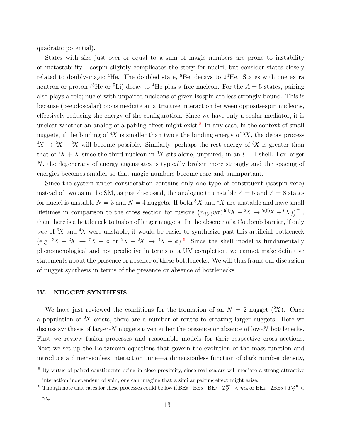quadratic potential).

States with size just over or equal to a sum of magic numbers are prone to instability or metastability. Isospin slightly complicates the story for nuclei, but consider states closely related to doubly-magic <sup>4</sup>He. The doubled state, <sup>8</sup>Be, decays to  $2<sup>4</sup>$ He. States with one extra neutron or proton (<sup>5</sup>He or <sup>5</sup>Li) decay to <sup>4</sup>He plus a free nucleon. For the  $A = 5$  states, pairing also plays a role; nuclei with unpaired nucleons of given isospin are less strongly bound. This is because (pseudoscalar) pions mediate an attractive interaction between opposite-spin nucleons, effectively reducing the energy of the configuration. Since we have only a scalar mediator, it is unclear whether an analog of a pairing effect might exist.<sup>[5](#page-12-1)</sup> In any case, in the context of small nuggets, if the binding of  ${}^{4}X$  is smaller than twice the binding energy of  ${}^{2}X$ , the decay process  $4X \rightarrow 2X + 2X$  will become possible. Similarly, perhaps the rest energy of  $3X$  is greater than that of  $X + X$  since the third nucleon in  $X$  sits alone, unpaired, in an  $l = 1$  shell. For larger N, the degeneracy of energy eigenstates is typically broken more strongly and the spacing of energies becomes smaller so that magic numbers become rare and unimportant.

Since the system under consideration contains only one type of constituent (isospin zero) instead of two as in the SM, as just discussed, the analogue to unstable  $A = 5$  and  $A = 8$  states for nuclei is unstable  $N = 3$  and  $N = 4$  nuggets. If both  ${}^{3}X$  and  ${}^{4}X$  are unstable and have small lifetimes in comparison to the cross section for fusions  $(n_{3(4)}v\sigma(^{3(4)}X + 2X \rightarrow ^{5(6)}X + ^{0}X))$ <sup>-1</sup>, then there is a bottleneck to fusion of larger nuggets. In the absence of a Coulomb barrier, if only one of  $X$  and  $X$  were unstable, it would be easier to synthesize past this artificial bottleneck (e.g.  ${}^3X + {}^2X \rightarrow {}^5X + \phi$  or  ${}^2X + {}^2X \rightarrow {}^4X + \phi$ ).<sup>[6](#page-12-2)</sup> Since the shell model is fundamentally phenomenological and not predictive in terms of a UV completion, we cannot make definitive statements about the presence or absence of these bottlenecks. We will thus frame our discussion of nugget synthesis in terms of the presence or absence of bottlenecks.

#### <span id="page-12-0"></span>IV. NUGGET SYNTHESIS

We have just reviewed the conditions for the formation of an  $N = 2$  nugget  $(X)$ . Once a population of  $X$  exists, there are a number of routes to creating larger nuggets. Here we discuss synthesis of larger-N nuggets given either the presence or absence of low-N bottlenecks. First we review fusion processes and reasonable models for their respective cross sections. Next we set up the Boltzmann equations that govern the evolution of the mass function and introduce a dimensionless interaction time—a dimensionless function of dark number density,

<span id="page-12-1"></span><sup>5</sup> By virtue of paired constituents being in close proximity, since real scalars will mediate a strong attractive interaction independent of spin, one can imagine that a similar pairing effect might arise.

<span id="page-12-2"></span><sup>&</sup>lt;sup>6</sup> Though note that rates for these processes could be low if  $BE_5-BE_2-BE_3+T_X^{syn} < m_\phi$  or  $BE_4-2BE_2+T_X^{syn} <$ 

 $m_{\phi}$ .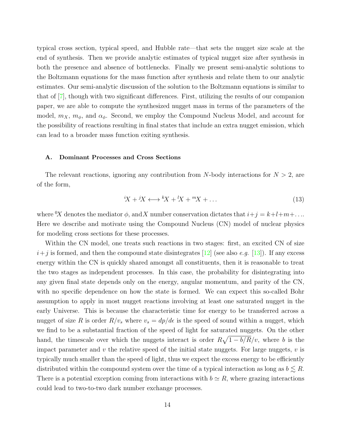typical cross section, typical speed, and Hubble rate—that sets the nugget size scale at the end of synthesis. Then we provide analytic estimates of typical nugget size after synthesis in both the presence and absence of bottlenecks. Finally we present semi-analytic solutions to the Boltzmann equations for the mass function after synthesis and relate them to our analytic estimates. Our semi-analytic discussion of the solution to the Boltzmann equations is similar to that of [\[7\]](#page-28-4), though with two significant differences. First, utilizing the results of our companion paper, we are able to compute the synthesized nugget mass in terms of the parameters of the model,  $m_X$ ,  $m_\phi$ , and  $\alpha_\phi$ . Second, we employ the Compound Nucleus Model, and account for the possibility of reactions resulting in final states that include an extra nugget emission, which can lead to a broader mass function exiting synthesis.

#### <span id="page-13-0"></span>A. Dominant Processes and Cross Sections

The relevant reactions, ignoring any contribution from N-body interactions for  $N > 2$ , are of the form,

<span id="page-13-1"></span>
$$
{}^{i}X + {}^{j}X \longleftrightarrow {}^{k}X + {}^{l}X + {}^{m}X + \dots
$$
\n<sup>(13)</sup>

where <sup>0</sup>X denotes the mediator  $\phi$ , and X number conservation dictates that  $i+j = k+l+m+\dots$ Here we describe and motivate using the Compound Nucleus (CN) model of nuclear physics for modeling cross sections for these processes.

Within the CN model, one treats such reactions in two stages: first, an excited CN of size  $i+j$  is formed, and then the compound state disintegrates [\[12\]](#page-28-9) (see also e.g. [\[13\]](#page-28-10)). If any excess energy within the CN is quickly shared amongst all constituents, then it is reasonable to treat the two stages as independent processes. In this case, the probability for disintegrating into any given final state depends only on the energy, angular momentum, and parity of the CN, with no specific dependence on how the state is formed. We can expect this so-called Bohr assumption to apply in most nugget reactions involving at least one saturated nugget in the early Universe. This is because the characteristic time for energy to be transferred across a nugget of size R is order  $R/v_s$  where  $v_s = dp/d\epsilon$  is the speed of sound within a nugget, which we find to be a substantial fraction of the speed of light for saturated nuggets. On the other hand, the timescale over which the nuggets interact is order  $R\sqrt{1-b/R}/v$ , where b is the impact parameter and  $v$  the relative speed of the initial state nuggets. For large nuggets,  $v$  is typically much smaller than the speed of light, thus we expect the excess energy to be efficiently distributed within the compound system over the time of a typical interaction as long as  $b \leq R$ . There is a potential exception coming from interactions with  $b \simeq R$ , where grazing interactions could lead to two-to-two dark number exchange processes.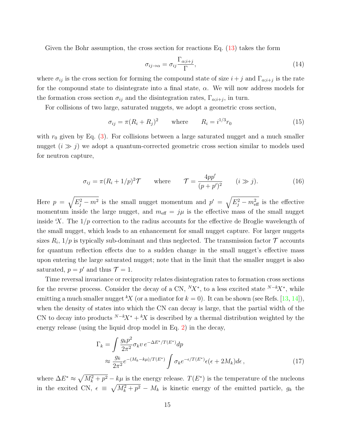Given the Bohr assumption, the cross section for reactions Eq. [\(13\)](#page-13-1) takes the form

$$
\sigma_{ij \to \alpha} = \sigma_{ij} \frac{\Gamma_{\alpha;i+j}}{\Gamma},\tag{14}
$$

where  $\sigma_{ij}$  is the cross section for forming the compound state of size  $i + j$  and  $\Gamma_{\alpha;i+j}$  is the rate for the compound state to disintegrate into a final state,  $\alpha$ . We will now address models for the formation cross section  $\sigma_{ij}$  and the disintegration rates,  $\Gamma_{\alpha;i+j}$ , in turn.

For collisions of two large, saturated nuggets, we adopt a geometric cross section,

$$
\sigma_{ij} = \pi (R_i + R_j)^2 \qquad \text{where} \qquad R_i = i^{1/3} r_0 \tag{15}
$$

with  $r_0$  given by Eq. [\(3\)](#page-6-1). For collisions between a large saturated nugget and a much smaller nugget  $(i \gg j)$  we adopt a quantum-corrected geometric cross section similar to models used for neutron capture,

$$
\sigma_{ij} = \pi (R_i + 1/p)^2 \mathcal{T} \quad \text{where} \quad \mathcal{T} = \frac{4pp'}{(p+p')^2} \quad (i \gg j). \tag{16}
$$

Here  $p = \sqrt{E_j^2 - m^2}$  is the small nugget momentum and  $p' = \sqrt{E_j^2 - m_{\text{eff}}^2}$  is the effective momentum inside the large nugget, and  $m_{\text{eff}} = j\mu$  is the effective mass of the small nugget inside  $X$ . The  $1/p$  correction to the radius accounts for the effective de Broglie wavelength of the small nugget, which leads to an enhancement for small nugget capture. For larger nuggets sizes  $R_i$ ,  $1/p$  is typically sub-dominant and thus neglected. The transmission factor  $\mathcal T$  accounts for quantum reflection effects due to a sudden change in the small nugget's effective mass upon entering the large saturated nugget; note that in the limit that the smaller nugget is also saturated,  $p = p'$  and thus  $\mathcal{T} = 1$ .

Time reversal invariance or reciprocity relates disintegration rates to formation cross sections for the reverse process. Consider the decay of a CN,  ${}^N\!X^*$ , to a less excited state  ${}^{N-k}\!X^*$ , while emitting a much smaller nugget <sup>k</sup>X (or a mediator for  $k = 0$ ). It can be shown (see Refs. [\[13,](#page-28-10) [14\]](#page-28-11)), when the density of states into which the CN can decay is large, that the partial width of the CN to decay into products  $N-kX^* + kX$  is described by a thermal distribution weighted by the energy release (using the liquid drop model in Eq. [2\)](#page-5-1) in the decay,

$$
\Gamma_k = \int \frac{g_k p^2}{2\pi^2} \sigma_k v \, e^{-\Delta E^* / T(E^*)} dp
$$
\n
$$
\approx \frac{g_k}{2\pi^2} e^{-(M_k - k\mu) / T(E^*)} \int \sigma_k e^{-\epsilon / T(E^*)} \epsilon(\epsilon + 2M_k) d\epsilon \,, \tag{17}
$$

where  $\Delta E^* \approx \sqrt{M_k^2 + p^2} - k\mu$  is the energy release.  $T(E^*)$  is the temperature of the nucleons in the excited CN,  $\epsilon \equiv \sqrt{M_k^2 + p^2} - M_k$  is kinetic energy of the emitted particle,  $g_k$  the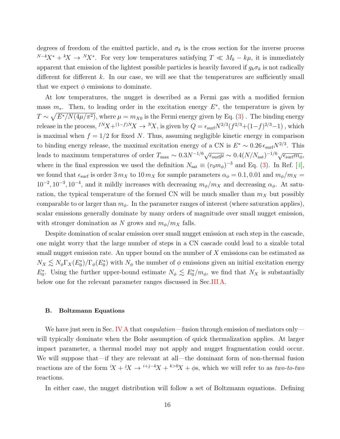degrees of freedom of the emitted particle, and  $\sigma_k$  is the cross section for the inverse process  $N-kX^* + K \to N^*X^*$ . For very low temperatures satisfying  $T \ll M_k - k\mu$ , it is immediately apparent that emission of the lightest possible particles is heavily favored if  $g_k \sigma_k$  is not radically different for different  $k$ . In our case, we will see that the temperatures are sufficiently small that we expect  $\phi$  emissions to dominate.

At low temperatures, the nugget is described as a Fermi gas with a modified fermion mass  $m_*$ . Then, to leading order in the excitation energy  $E^*$ , the temperature is given by  $T \sim \sqrt{E^* / N(4\mu/\pi^2)}$ , where  $\mu = m_{X0}$  is the Fermi energy given by Eq. [\(3\)](#page-6-1). The binding energy release in the process,  $f^N X + (1-f)^N X \to {}^N X$ , is given by  $Q = \epsilon_{\text{surf}} N^{2/3} (f^{2/3} + (1-f)^{2/3} - 1)$ , which is maximal when  $f = 1/2$  for fixed N. Thus, assuming negligible kinetic energy in comparison to binding energy release, the maximal excitation energy of a CN is  $E^* \sim 0.26 \epsilon_{\rm surf} N^{2/3}$ . This leads to maximum temperatures of order  $T_{\text{max}} \sim 0.3 N^{-1/6} \sqrt{\epsilon_{\text{surf}} \mu} \sim 0.4 (N/N_{\text{sat}})^{-1/6} \sqrt{\epsilon_{\text{surf}} m_{\phi}}$ , where in the final expression we used the definition  $N_{\text{sat}} \equiv (r_0 m_{\phi})^{-3}$  and Eq. [\(3\)](#page-6-1). In Ref. [\[4\]](#page-28-1), we found that  $\epsilon_{\text{surf}}$  is order 3  $m_X$  to 10  $m_X$  for sample parameters  $\alpha_{\phi} = 0.1, 0.01$  and  $m_{\phi}/m_X =$  $10^{-2}$ ,  $10^{-3}$ ,  $10^{-4}$ , and it mildly increases with decreasing  $m_{\phi}/m_X$  and decreasing  $\alpha_{\phi}$ . At saturation, the typical temperature of the formed CN will be much smaller than  $m<sub>X</sub>$  but possibly comparable to or larger than  $m_{\phi}$ . In the parameter ranges of interest (where saturation applies), scalar emissions generally dominate by many orders of magnitude over small nugget emission, with stronger domination as N grows and  $m_{\phi}/m_X$  falls.

Despite domination of scalar emission over small nugget emission at each step in the cascade, one might worry that the large number of steps in a CN cascade could lead to a sizable total small nugget emission rate. An upper bound on the number of  $X$  emissions can be estimated as  $N_X \lesssim N_\phi \Gamma_X(E_0^*)/\Gamma_\phi(E_0^*)$  with  $N_\phi$  the number of  $\phi$  emissions given an initial excitation energy  $E_0^*$ . Using the further upper-bound estimate  $N_\phi \lesssim E_0^*/m_\phi$ , we find that  $N_X$  is substantially below one for the relevant parameter ranges discussed in Sec[.III A.](#page-7-1)

## <span id="page-15-0"></span>B. Boltzmann Equations

We have just seen in Sec. [IV A](#page-13-0) that *coagulation*—fusion through emission of mediators only will typically dominate when the Bohr assumption of quick thermalization applies. At larger impact parameter, a thermal model may not apply and nugget fragmentation could occur. We will suppose that—if they are relevant at all—the dominant form of non-thermal fusion reactions are of the form  $iX + iX \rightarrow i+j-kX + k>0$ , which we will refer to as two-to-two reactions.

In either case, the nugget distribution will follow a set of Boltzmann equations. Defining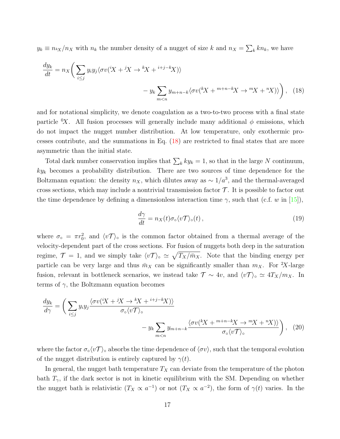$y_k \equiv n_{kX}/n_X$  with  $n_k$  the number density of a nugget of size k and  $n_X = \sum_k kn_k$ , we have

$$
\frac{dy_k}{dt} = n_X \left( \sum_{i \le j} y_i y_j \langle \sigma v (iX + iX \to {}^k X + {}^{i+j-k} X) \rangle - y_k \sum_{m < n} y_{m+n-k} \langle \sigma v (iX + {}^{m+n-k} X \to {}^m X + {}^n X) \rangle \right), \tag{18}
$$

and for notational simplicity, we denote coagulation as a two-to-two process with a final state particle <sup>0</sup>X. All fusion processes will generally include many additional  $\phi$  emissions, which do not impact the nugget number distribution. At low temperature, only exothermic processes contribute, and the summations in Eq. [\(18\)](#page-16-0) are restricted to final states that are more asymmetric than the initial state.

Total dark number conservation implies that  $\sum_{k} ky_k = 1$ , so that in the large N continuum,  $ky_k$  becomes a probability distribution. There are two sources of time dependence for the Boltzmann equation: the density  $n_X$ , which dilutes away as  $\sim 1/a^3$ , and the thermal-averaged cross sections, which may include a nontrivial transmission factor  $\mathcal T$ . It is possible to factor out the time dependence by defining a dimensionless interaction time  $\gamma$ , such that (c.f. w in [\[15\]](#page-28-12)),

<span id="page-16-1"></span><span id="page-16-0"></span>
$$
\frac{d\gamma}{dt} = n_X(t)\sigma_\circ \langle v\mathcal{T}\rangle_\circ(t)\,,\tag{19}
$$

where  $\sigma_{\circ} = \pi r_0^2$ , and  $\langle v\mathcal{T}\rangle_{\circ}$  is the common factor obtained from a thermal average of the velocity-dependent part of the cross sections. For fusion of nuggets both deep in the saturation regime,  $\mathcal{T} = 1$ , and we simply take  $\langle v\mathcal{T}\rangle_{\circ} \simeq \sqrt{T_X/\bar{m}_X}$ . Note that the binding energy per particle can be very large and thus  $\bar{m}_X$  can be significantly smaller than  $m_X$ . For <sup>2</sup>X-large fusion, relevant in bottleneck scenarios, we instead take  $\mathcal{T} \sim 4v$ , and  $\langle v\mathcal{T}\rangle$ °  $\simeq 4T_X/m_X$ . In terms of  $\gamma$ , the Boltzmann equation becomes

$$
\frac{dy_k}{d\gamma} = \left(\sum_{i \le j} y_i y_j \frac{\langle \sigma v(iX + iX \to {}^k X + {}^{i+j-k} X) \rangle}{\sigma_\circ \langle v \mathcal{T} \rangle_\circ} - y_k \sum_{m < n} y_{m+n-k} \frac{\langle \sigma v(kX + {}^{m+n-k} X \to {}^m X + {}^n X) \rangle}{\sigma_\circ \langle v \mathcal{T} \rangle_\circ} \right), \tag{20}
$$

where the factor  $\sigma_{\circ} \langle v \mathcal{T} \rangle_{\circ}$  absorbs the time dependence of  $\langle \sigma v \rangle$ , such that the temporal evolution of the nugget distribution is entirely captured by  $\gamma(t)$ .

In general, the nugget bath temperature  $T_X$  can deviate from the temperature of the photon bath  $T_{\gamma}$ , if the dark sector is not in kinetic equilibrium with the SM. Depending on whether the nugget bath is relativistic  $(T_X \propto a^{-1})$  or not  $(T_X \propto a^{-2})$ , the form of  $\gamma(t)$  varies. In the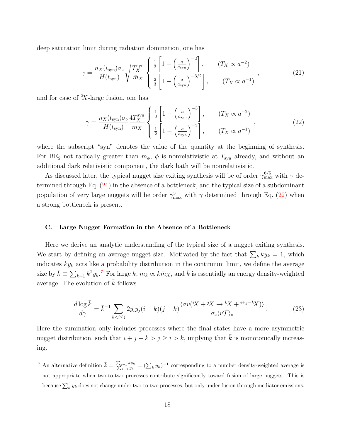deep saturation limit during radiation domination, one has

<span id="page-17-1"></span>
$$
\gamma = \frac{n_X(t_{\rm syn})\sigma_{\rm o}}{H(t_{\rm syn})} \sqrt{\frac{T_X^{\rm syn}}{\bar{m}_X}} \begin{cases} \frac{1}{2} \left[ 1 - \left(\frac{a}{a_{\rm syn}}\right)^{-2} \right], & (T_X \propto a^{-2})\\ \frac{2}{3} \left[ 1 - \left(\frac{a}{a_{\rm syn}}\right)^{-3/2} \right], & (T_X \propto a^{-1}) \end{cases}
$$
\n(21)

and for case of  ${}^{2}X$ -large fusion, one has

<span id="page-17-2"></span>
$$
\gamma = \frac{n_X(t_{\rm syn})\sigma_{\rm o}}{H(t_{\rm syn})} \frac{4T_X^{\rm syn}}{m_X} \left\{ \frac{\frac{1}{3} \left[ 1 - \left(\frac{a}{a_{\rm syn}}\right)^{-3} \right]}{\frac{1}{2} \left[ 1 - \left(\frac{a}{a_{\rm syn}}\right)^{-2} \right]}, \qquad (T_X \propto a^{-2}) \right\},\tag{22}
$$

where the subscript "syn" denotes the value of the quantity at the beginning of synthesis. For BE<sub>2</sub> not radically greater than  $m_{\phi}$ ,  $\phi$  is nonrelativistic at  $T_{syn}$  already, and without an additional dark relativistic component, the dark bath will be nonrelativistic.

As discussed later, the typical nugget size exiting synthesis will be of order  $\gamma_{\rm max}^{6/5}$  with  $\gamma$  determined through Eq. [\(21\)](#page-17-1) in the absence of a bottleneck, and the typical size of a subdominant population of very large nuggets will be order  $\gamma_{\text{max}}^3$  with  $\gamma$  determined through Eq. [\(22\)](#page-17-2) when a strong bottleneck is present.

# <span id="page-17-0"></span>C. Large Nugget Formation in the Absence of a Bottleneck

Here we derive an analytic understanding of the typical size of a nugget exiting synthesis. We start by defining an average nugget size. Motivated by the fact that  $\sum_k ky_k = 1$ , which indicates  $ky_k$  acts like a probability distribution in the continuum limit, we define the average size by  $\bar{k} \equiv \sum_{k=1} k^2 y_k$ .<sup>[7](#page-17-3)</sup> For large k,  $m_k \propto k \bar{m}_X$ , and  $\bar{k}$  is essentially an energy density-weighted average. The evolution of  $\bar{k}$  follows

<span id="page-17-4"></span>
$$
\frac{d\log\bar{k}}{d\gamma} = \bar{k}^{-1} \sum_{k < i \le j} 2y_i y_j (i - k)(j - k) \frac{\langle \sigma v (iX + iX \to {}^k \! X + {}^{i+j-k} \! X) \rangle}{\sigma_\circ \langle v \mathcal{T} \rangle_\circ} \,. \tag{23}
$$

Here the summation only includes processes where the final states have a more asymmetric nugget distribution, such that  $i + j - k > j \ge i > k$ , implying that  $\overline{k}$  is monotonically increasing.

<span id="page-17-3"></span><sup>&</sup>lt;sup>7</sup> An alternative definition  $\bar{k} = \frac{\sum_{k=1} k y_k}{\sum_{k=1} y_k}$  $\frac{k=1}{k-1} \frac{ky_k}{y_k} = (\sum_k y_k)^{-1}$  corresponding to a number density-weighted average is not appropriate when two-to-two processes contribute significantly toward fusion of large nuggets. This is because  $\sum_k y_k$  does not change under two-to-two processes, but only under fusion through mediator emissions.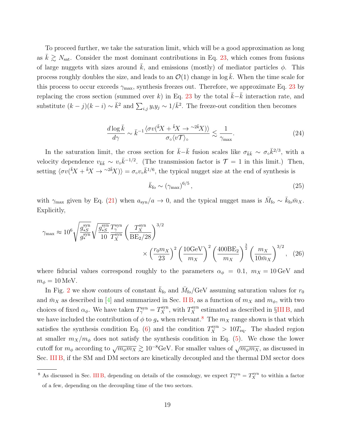To proceed further, we take the saturation limit, which will be a good approximation as long as  $\bar{k} \gtrsim N_{\text{sat}}$ . Consider the most dominant contributions in Eq. [23,](#page-17-4) which comes from fusions of large nuggets with sizes around  $\bar{k}$ , and emissions (mostly) of mediator particles  $\phi$ . This process roughly doubles the size, and leads to an  $\mathcal{O}(1)$  change in log k. When the time scale for this process to occur exceeds  $\gamma_{\text{max}}$ , synthesis freezes out. Therefore, we approximate Eq. [23](#page-17-4) by replacing the cross section (summed over k) in Eq. [23](#page-17-4) by the total  $k-k$  interaction rate, and substitute  $(k-j)(k-i) \sim \bar{k}^2$  and  $\sum_{i,j} y_i y_j \sim 1/\bar{k}^2$ . The freeze-out condition then becomes

$$
\frac{d\log\bar{k}}{d\gamma} \sim \bar{k}^{-1} \frac{\langle \sigma v(\bar{k}X + \bar{k}X \to \sim^{2\bar{k}}X) \rangle}{\sigma_{\circ} \langle v\mathcal{T} \rangle_{\circ}} \lesssim \frac{1}{\gamma_{\text{max}}}.
$$
\n(24)

In the saturation limit, the cross section for  $\bar{k}-\bar{k}$  fusion scales like  $\sigma_{\bar{k}\bar{k}} \sim \sigma_{\circ} \bar{k}^{2/3}$ , with a velocity dependence  $v_{\bar{k}\bar{k}} \sim v_{\circ} \bar{k}^{-1/2}$ . (The transmission factor is  $\mathcal{T} = 1$  in this limit.) Then, setting  $\langle \sigma v(\bar{k}X + \bar{k}X \to \gamma v \bar{k}X) \rangle = \sigma_{\circ} v_{\circ} \bar{k}^{1/6}$ , the typical nugget size at the end of synthesis is

$$
\bar{k}_{\text{fo}} \sim \left(\gamma_{\text{max}}\right)^{6/5},\tag{25}
$$

with  $\gamma_{\text{max}}$  given by Eq. [\(21\)](#page-17-1) when  $a_{syn}/a \to 0$ , and the typical nugget mass is  $\bar{M}_{fo} \sim \bar{k}_{fo} \bar{m}_X$ . Explicitly,

$$
\gamma_{\text{max}} \approx 10^6 \sqrt{\frac{g_{*S}^{\text{syn}}}{g_*^{\text{syn}}}} \sqrt{\frac{g_{*S}^{\text{syn}}}{10}} \frac{T_{\gamma}^{\text{syn}}}{T_{X}^{\text{syn}}} \left(\frac{T_{X}^{\text{syn}}}{BE_2/28}\right)^{3/2} \times \left(\frac{r_0 m_X}{23}\right)^2 \left(\frac{10 \text{GeV}}{m_X}\right)^2 \left(\frac{400 \text{BE}_2}{m_X}\right)^{\frac{3}{2}} \left(\frac{m_X}{10 \bar{m}_X}\right)^{3/2}, \quad (26)
$$

where fiducial values correspond roughly to the parameters  $\alpha_{\phi} = 0.1$ ,  $m_X = 10 \,\text{GeV}$  and  $m_{\phi} = 10 \,\text{MeV}.$ 

In Fig. [2](#page-20-0) we show contours of constant  $\bar{k}_{\text{fo}}$  and  $\bar{M}_{\text{fo}}/\text{GeV}$  assuming saturation values for  $r_0$ and  $\bar{m}_X$  as described in [\[4\]](#page-28-1) and summarized in Sec. [II B,](#page-6-0) as a function of  $m_X$  and  $m_\phi$ , with two choices of fixed  $\alpha_{\phi}$ . We have taken  $T_{\gamma}^{\text{syn}} = T_{X}^{\text{syn}}$ , with  $T_{X}^{\text{syn}}$  estimated as described in §IIIB, and we have included the contribution of  $\phi$  to  $g_*$  when relevant.<sup>[8](#page-18-0)</sup> The  $m_X$  range shown is that which satisfies the synthesis condition Eq. [\(6\)](#page-7-3) and the condition  $T_X^{\text{syn}} > 10T_{\text{eq}}$ . The shaded region at smaller  $m_X/m_\phi$  does not satisfy the synthesis condition in Eq. [\(5\)](#page-7-4). We chose the lower cutoff for  $m_{\phi}$  according to  $\sqrt{m_{\phi}m_X} \gtrsim 10^{-8} \text{GeV}$ . For smaller values of  $\sqrt{m_{\phi}m_X}$ , as discussed in Sec. [III B,](#page-7-2) if the SM and DM sectors are kinetically decoupled and the thermal DM sector does

<span id="page-18-0"></span><sup>&</sup>lt;sup>8</sup> As discussed in Sec. IIIB, depending on details of the cosmology, we expect  $T_\gamma^{\text{syn}} = T_X^{\text{syn}}$  to within a factor of a few, depending on the decoupling time of the two sectors.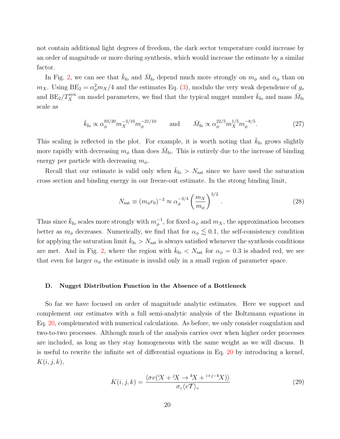not contain additional light degrees of freedom, the dark sector temperature could increase by an order of magnitude or more during synthesis, which would increase the estimate by a similar factor.

In Fig. [2,](#page-20-0) we can see that  $\bar{k}_{\text{fo}}$  and  $\bar{M}_{\text{fo}}$  depend much more strongly on  $m_{\phi}$  and  $\alpha_{\phi}$  than on  $m_X$ . Using  $BE_2 = \alpha_\phi^2 m_X/4$  and the estimates Eq. [\(3\)](#page-6-1), modulo the very weak dependence of  $g_*$ and  $BE_2/T_X^{\text{syn}}$  on model parameters, we find that the typical nugget number  $\bar{k}_{\text{fo}}$  and mass  $\bar{M}_{\text{fo}}$ scale as

$$
\bar{k}_{\text{fo}} \propto \alpha_{\phi}^{93/20} m_X^{-3/10} m_{\phi}^{-21/10} \quad \text{and} \quad \bar{M}_{\text{fo}} \propto \alpha_{\phi}^{22/5} m_X^{1/5} m_{\phi}^{-8/5}.
$$
 (27)

This scaling is reflected in the plot. For example, it is worth noting that  $k_{\text{fo}}$  grows slightly more rapidly with decreasing  $m_{\phi}$  than does  $\bar{M}_{\text{fo}}$ . This is entirely due to the increase of binding energy per particle with decreasing  $m_{\phi}$ .

Recall that our estimate is valid only when  $\bar{k}_{\text{fo}} > N_{\text{sat}}$  since we have used the saturation cross section and binding energy in our freeze-out estimate. In the strong binding limit,

$$
N_{\rm sat} \equiv (m_\phi r_0)^{-3} \approx \alpha_\phi^{-3/4} \left(\frac{m_X}{m_\phi}\right)^{3/2}.
$$
 (28)

Thus since  $\bar{k}_{\text{fo}}$  scales more strongly with  $m_{\phi}^{-1}$ , for fixed  $\alpha_{\phi}$  and  $m_X$ , the approximation becomes better as  $m_{\phi}$  decreases. Numerically, we find that for  $\alpha_{\phi} \lesssim 0.1$ , the self-consistency condition for applying the saturation limit  $\bar{k}_{\text{fo}} > N_{\text{sat}}$  is always satisfied whenever the synthesis conditions are met. And in Fig. [2,](#page-20-0) where the region with  $\bar{k}_{\text{fo}} < N_{\text{sat}}$  for  $\alpha_{\phi} = 0.3$  is shaded red, we see that even for larger  $\alpha_{\phi}$  the estimate is invalid only in a small region of parameter space.

#### <span id="page-19-0"></span>D. Nugget Distribution Function in the Absence of a Bottleneck

So far we have focused on order of magnitude analytic estimates. Here we support and complement our estimates with a full semi-analytic analysis of the Boltzmann equations in Eq. [20,](#page-16-1) complemented with numerical calculations. As before, we only consider coagulation and two-to-two processes. Although much of the analysis carries over when higher order processes are included, as long as they stay homogeneous with the same weight as we will discuss. It is useful to rewrite the infinite set of differential equations in Eq. [20](#page-16-1) by introducing a kernel,  $K(i, j, k),$ 

$$
K(i,j,k) = \frac{\langle \sigma v(iX + iX \to {}^k X + {}^{i+j-k} X) \rangle}{\sigma_{\circ} \langle v \mathcal{T} \rangle_{\circ}}
$$
(29)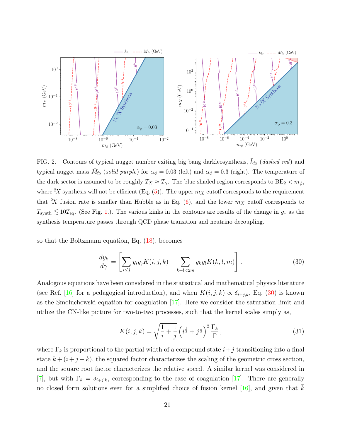

<span id="page-20-0"></span>FIG. 2. Contours of typical nugget number exiting big bang darkleosynthesis,  $k_{\text{fo}}$  (dashed red) and typical nugget mass  $\bar{M}_{\text{fo}}$  (solid purple) for  $\alpha_{\phi} = 0.03$  (left) and  $\alpha_{\phi} = 0.3$  (right). The temperature of the dark sector is assumed to be roughly  $T_X \approx T_\gamma$ . The blue shaded region corresponds to  $BE_2 < m_\phi$ , where <sup>2</sup>X synthesis will not be efficient (Eq. [\(5\)](#page-7-4)). The upper  $m<sub>X</sub>$  cutoff corresponds to the requirement that <sup>2</sup>X fusion rate is smaller than Hubble as in Eq. [\(6\)](#page-7-3), and the lower  $m<sub>X</sub>$  cutoff corresponds to  $T_{\text{synth}} \lesssim 10T_{\text{eq}}$ . (See Fig. [1.](#page-8-0)). The various kinks in the contours are results of the change in  $g_*$  as the synthesis temperature passes through QCD phase transition and neutrino decoupling.

so that the Boltzmann equation, Eq. [\(18\)](#page-16-0), becomes

$$
\frac{dy_k}{d\gamma} = \left[ \sum_{i \le j} y_i y_j K(i, j, k) - \sum_{k+l < 2m} y_k y_l K(k, l, m) \right]. \tag{30}
$$

Analogous equations have been considered in the statisitical and mathematical physics literature (see Ref. [\[16\]](#page-28-13) for a pedagogical introduction), and when  $K(i, j, k) \propto \delta_{i+j,k}$ , Eq. [\(30\)](#page-20-1) is known as the Smoluchowski equation for coagulation [\[17\]](#page-28-14). Here we consider the saturation limit and utilize the CN-like picture for two-to-two processes, such that the kernel scales simply as,

<span id="page-20-2"></span><span id="page-20-1"></span>
$$
K(i,j,k) = \sqrt{\frac{1}{i} + \frac{1}{j}} \left( i^{\frac{1}{3}} + j^{\frac{1}{3}} \right)^2 \frac{\Gamma_k}{\Gamma},
$$
\n(31)

where  $\Gamma_k$  is proportional to the partial width of a compound state  $i+j$  transitioning into a final state  $k + (i + j - k)$ , the squared factor characterizes the scaling of the geometric cross section, and the square root factor characterizes the relative speed. A similar kernel was considered in [\[7\]](#page-28-4), but with  $\Gamma_k = \delta_{i+j,k}$ , corresponding to the case of coagulation [\[17\]](#page-28-14). There are generally no closed form solutions even for a simplified choice of fusion kernel [\[16\]](#page-28-13), and given that  $k$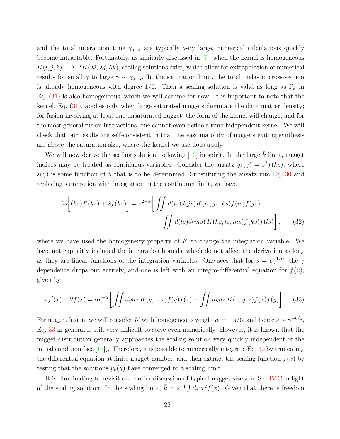and the total interaction time  $\gamma_{\text{max}}$  are typically very large, numerical calculations quickly become intractable. Fortunately, as similarly discussed in [\[7\]](#page-28-4), when the kernel is homogeneous  $K(i, j, k) = \lambda^{-\alpha} K(\lambda i, \lambda j, \lambda k)$ , scaling solutions exist, which allow for extrapolation of numerical results for small  $\gamma$  to large  $\gamma \sim \gamma_{\text{max}}$ . In the saturation limit, the total inelastic cross-section is already homogeneous with degree 1/6. Then a scaling solution is valid as long as  $\Gamma_k$  in Eq.  $(31)$  is also homogeneous, which we will assume for now. It is important to note that the kernel, Eq. [\(31\)](#page-20-2), applies only when large saturated nuggets dominate the dark matter density; for fusion involving at least one unsaturated nugget, the form of the kernel will change, and for the most general fusion interactions, one cannot even define a time-independent kernel. We will check that our results are self-consistent in that the vast majority of nuggets exiting synthesis are above the saturation size, where the kernel we use does apply.

We will now derive the scaling solution, following  $[16]$  in spirit. In the large k limit, nugget indices may be treated as continuous variables. Consider the ansatz  $y_k(\gamma) = s^2 f(ks)$ , where  $s(\gamma)$  is some function of  $\gamma$  that is to be determined. Substituting the ansatz into Eq. [30](#page-20-1) and replacing summation with integration in the continuum limit, we have

$$
\dot{s}s\left[(ks)f'(ks) + 2f(ks)\right] = s^{2-\alpha} \left[\iint d(is)d(is)K(is,js,ks)f(is)f(is)\right] - \iint d(ls)d(ms)K(ks,ls,ms)f(ks)f(ls)\right],\tag{32}
$$

where we have used the homogeneity property of  $K$  to change the integration variable. We have not explicitly included the integration bounds, which do not affect the derivation as long as they are linear functions of the integration variables. One sees that for  $s = c\gamma^{1/\alpha}$ , the  $\gamma$ dependence drops out entirely, and one is left with an integro-differential equation for  $f(x)$ , given by

<span id="page-21-0"></span>
$$
xf'(x) + 2f(x) = \alpha c^{-\alpha} \left[ \iint dy dz K(y, z, x) f(y) f(z) - \iint dy dz K(x, y, z) f(x) f(y) \right]. \tag{33}
$$

For nugget fusion, we will consider K with homogeneous weight  $\alpha = -5/6$ , and hence  $s \sim \gamma^{-6/5}$ . Eq. [33](#page-21-0) in general is still very difficult to solve even numerically. However, it is known that the nugget distribution generally approaches the scaling solution very quickly independent of the initial condition (see  $[16]$ ). Therefore, it is possible to numerically integrate Eq. [30](#page-20-1) by truncating the differential equation at finite nugget number, and then extract the scaling function  $f(x)$  by testing that the solutions  $y_k(\gamma)$  have converged to a scaling limit.

It is illuminating to revisit our earlier discussion of typical nugget size  $\bar{k}$  in Sec[.IV C](#page-17-0) in light of the scaling solution. In the scaling limit,  $\bar{k} = s^{-1} \int dx x^2 f(x)$ . Given that there is freedom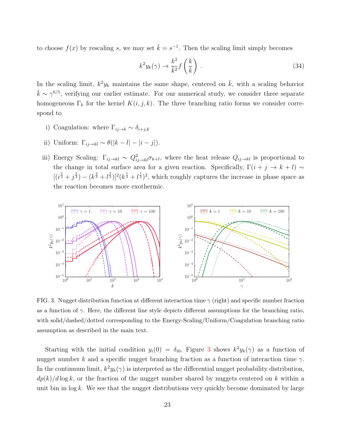to choose  $f(x)$  by rescaling s, we may set  $\bar{k} = s^{-1}$ . Then the scaling limit simply becomes

<span id="page-22-1"></span>
$$
k^2 y_k(\gamma) \to \frac{k^2}{\bar{k}^2} f\left(\frac{k}{\bar{k}}\right) \,. \tag{34}
$$

In the scaling limit,  $k^2 y_k$  maintains the same shape, centered on  $\overline{k}$ , with a scaling behavior  $\bar{k} \sim \gamma^{6/5}$ , verifying our earlier estimate. For our numerical study, we consider three separate homogeneous  $\Gamma_k$  for the kernel  $K(i, j, k)$ . The three branching ratio forms we consider correspond to

- i) Coagulation: where  $\Gamma_{ij\to k} \sim \delta_{i+j,k}$
- ii) Uniform:  $\Gamma_{ij\to kl} \sim \theta(|k-l|-|i-j|)$ .
- iii) Energy Scaling:  $\Gamma_{ij\to kl} \sim Q_{ij\to kl}^2 \sigma_{k+l}$ , where the heat release  $Q_{ij\to kl}$  is proportional to the change in total surface area for a given reaction. Specifically,  $\Gamma(i + j \rightarrow k + l) \sim$  $[(i^{\frac{2}{3}}+j^{\frac{2}{3}})-(k^{\frac{2}{3}}+l^{\frac{2}{3}})]^2(k^{\frac{1}{3}}+l^{\frac{1}{3}})^2$ , which roughly captures the increase in phase space as the reaction becomes more exothermic.



<span id="page-22-0"></span>FIG. 3. Nugget distribution function at different interaction time  $\gamma$  (right) and specific number fraction as a function of  $\gamma$ . Here, the different line style depicts different assumptions for the branching ratio, with solid/dashed/dotted corresponding to the Energy-Scaling/Uniform/Coagulation branching ratio assumption as described in the main text.

Starting with the initial condition  $y_i(0) = \delta_{i0}$ , Figure [3](#page-22-0) shows  $k^2 y_k(\gamma)$  as a function of nugget number k and a specific nugget branching fraction as a function of interaction time  $\gamma$ . In the continuum limit,  $k^2 y_k(\gamma)$  is interpreted as the differential nugget probability distribution,  $dp(k)/d \log k$ , or the fraction of the nugget number shared by nuggets centered on k within a unit bin in  $\log k$ . We see that the nugget distributions very quickly become dominated by large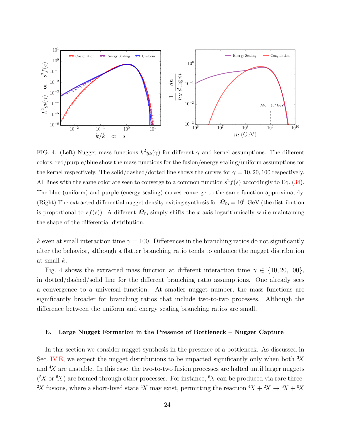

<span id="page-23-1"></span>FIG. 4. (Left) Nugget mass functions  $k^2 y_k(\gamma)$  for different  $\gamma$  and kernel assumptions. The different colors, red/purple/blue show the mass functions for the fusion/energy scaling/uniform assumptions for the kernel respectively. The solid/dashed/dotted line shows the curves for  $\gamma = 10, 20, 100$  respectively. All lines with the same color are seen to converge to a common function  $s^2 f(s)$  accordingly to Eq. [\(34\)](#page-22-1). The blue (uniform) and purple (energy scaling) curves converge to the same function approximately. (Right) The extracted differential nugget density exiting synthesis for  $\bar{M}_{\text{fo}} = 10^9$  GeV (the distribution is proportional to  $s f(s)$ ). A different  $\bar{M}_{\text{fo}}$  simply shifts the x-axis logarithmically while maintaining the shape of the differential distribution.

k even at small interaction time  $\gamma = 100$ . Differences in the branching ratios do not significantly alter the behavior, although a flatter branching ratio tends to enhance the nugget distribution at small k.

Fig. [4](#page-23-1) shows the extracted mass function at different interaction time  $\gamma \in \{10, 20, 100\}$ , in dotted/dashed/solid line for the different branching ratio assumptions. One already sees a convergence to a universal function. At smaller nugget number, the mass functions are significantly broader for branching ratios that include two-to-two processes. Although the difference between the uniform and energy scaling branching ratios are small.

## <span id="page-23-0"></span>E. Large Nugget Formation in the Presence of Bottleneck – Nugget Capture

In this section we consider nugget synthesis in the presence of a bottleneck. As discussed in Sec. [IV E,](#page-23-0) we expect the nugget distributions to be impacted significantly only when both  ${}^{3}X$ and  ${}^{4}X$  are unstable. In this case, the two-to-two fusion processes are halted until larger nuggets  $({}^{5}X$  or  ${}^{6}X$ ) are formed through other processes. For instance,  ${}^{6}X$  can be produced via rare three-<sup>2</sup>X fusions, where a short-lived state <sup>4</sup>X may exist, permitting the reaction  $4X + 2X \rightarrow 6X + 0X$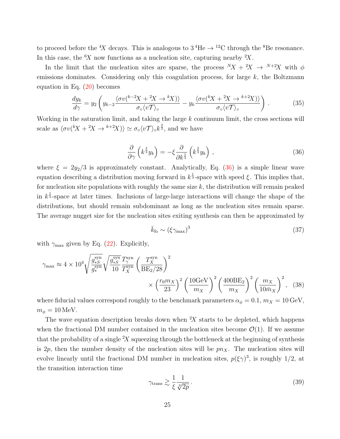to proceed before the <sup>4</sup>X decays. This is analogous to  $3\text{ }^4\text{He} \rightarrow \text{ }^{12}\text{C}$  through the <sup>8</sup>Be resonance. In this case, the  ${}^6X$  now functions as a nucleation site, capturing nearby  ${}^2X$ .

In the limit that the nucleation sites are sparse, the process  $(X + 2X \rightarrow Y+2X)$  with  $\phi$ emissions dominates. Considering only this coagulation process, for large  $k$ , the Boltzmann equation in Eq. [\(20\)](#page-16-1) becomes

$$
\frac{dy_k}{d\gamma} = y_2 \left( y_{k-2} \frac{\langle \sigma v^{(k-2)} + 2X \to {^k}X \rangle \rangle}{\sigma_{\text{o}} \langle v\mathcal{T} \rangle_{\text{o}}} - y_k \frac{\langle \sigma v^{(k)} + 2X \to {^{k+2}}X \rangle \rangle}{\sigma_{\text{o}} \langle v\mathcal{T} \rangle_{\text{o}}} \right). \tag{35}
$$

Working in the saturation limit, and taking the large  $k$  continuum limit, the cross sections will scale as  $\langle \sigma v (kX + 2X \to k+2X) \rangle \simeq \sigma_{\circ} \langle v \mathcal{T} \rangle_{\circ} k^{\frac{2}{3}}$ , and we have

$$
\frac{\partial}{\partial \gamma} \left( k^{\frac{2}{3}} y_k \right) = -\xi \frac{\partial}{\partial k^{\frac{1}{3}}} \left( k^{\frac{2}{3}} y_k \right) , \qquad (36)
$$

where  $\xi = 2y_2/3$  is approximately constant. Analytically, Eq. [\(36\)](#page-24-0) is a simple linear wave equation describing a distribution moving forward in  $k^{\frac{1}{3}}$ -space with speed  $\xi$ . This implies that, for nucleation site populations with roughly the same size  $k$ , the distribution will remain peaked in  $k^{\frac{1}{3}}$ -space at later times. Inclusions of large-large interactions will change the shape of the distributions, but should remain subdominant as long as the nucleation sites remain sparse. The average nugget size for the nucleation sites exiting synthesis can then be approximated by

<span id="page-24-0"></span>
$$
\bar{k}_{\text{fo}} \sim \left(\xi \gamma_{\text{max}}\right)^3 \tag{37}
$$

with  $\gamma_{\text{max}}$  given by Eq. [\(22\)](#page-17-2). Explicitly,

$$
\gamma_{\text{max}} \approx 4 \times 10^4 \sqrt{\frac{g_{*S}^{\text{syn}}}{g_{*}^{\text{syn}}}} \sqrt{\frac{g_{*S}^{\text{syn}}}{10}} \frac{T_{\gamma}^{\text{syn}}}{T_{X}^{\text{syn}}}\left(\frac{T_{X}^{\text{syn}}}{BE_2/28}\right)^2 \times \left(\frac{r_0 m_X}{23}\right)^2 \left(\frac{10 \text{GeV}}{m_X}\right)^2 \left(\frac{400 \text{BE}_2}{m_X}\right)^2 \left(\frac{m_X}{10 \bar{m}_X}\right)^2, \quad (38)
$$

where fiducial values correspond roughly to the benchmark parameters  $\alpha_\phi=0.1$ ,  $m_X=10\,{\rm GeV},$  $m_{\phi} = 10 \,\text{MeV}.$ 

The wave equation description breaks down when  $X$  starts to be depleted, which happens when the fractional DM number contained in the nucleation sites become  $\mathcal{O}(1)$ . If we assume that the probability of a single  $X$  squeezing through the bottleneck at the beginning of synthesis is 2p, then the number density of the nucleation sites will be  $p_{\alpha X}$ . The nucleation sites will evolve linearly until the fractional DM number in nucleation sites,  $p(\xi \gamma)^3$ , is roughly 1/2, at the transition interaction time

$$
\gamma_{\text{trans}} \gtrsim \frac{1}{\xi} \frac{1}{\sqrt[3]{2p}} \,. \tag{39}
$$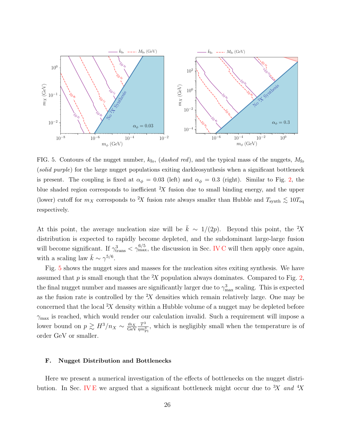

<span id="page-25-1"></span>FIG. 5. Contours of the nugget number,  $k_{\text{fo}}$ , (dashed red), and the typical mass of the nuggets,  $M_{\text{fo}}$ (solid purple) for the large nugget populations exiting darkleosynthesis when a significant bottleneck is present. The coupling is fixed at  $\alpha_{\phi} = 0.03$  (left) and  $\alpha_{\phi} = 0.3$  (right). Similar to Fig. [2,](#page-20-0) the blue shaded region corresponds to inefficient  $2X$  fusion due to small binding energy, and the upper (lower) cutoff for  $m_X$  corresponds to <sup>2</sup>X fusion rate always smaller than Hubble and  $T_{\text{synth}} \lesssim 10 T_{\text{eq}}$ respectively.

At this point, the average nucleation size will be  $\bar{k} \sim 1/(2p)$ . Beyond this point, the <sup>2</sup>X distribution is expected to rapidly become depleted, and the subdominant large-large fusion will become significant. If  $\gamma_{\text{trans}}^3 < \gamma_{\text{max}}^{6/5}$ , the discussion in Sec. [IV C](#page-17-0) will then apply once again, with a scaling law  $\bar{k} \sim \gamma^{5/6}$ .

Fig. [5](#page-25-1) shows the nugget sizes and masses for the nucleation sites exiting synthesis. We have assumed that p is small enough that the  ${}^{2}X$  population always dominates. Compared to Fig. [2,](#page-20-0) the final nugget number and masses are significantly larger due to  $\gamma_{\text{max}}^3$  scaling. This is expected as the fusion rate is controlled by the  $X$  densities which remain relatively large. One may be concerned that the local  $X$  density within a Hubble volume of a nugget may be depleted before  $\gamma_{\text{max}}$  is reached, which would render our calculation invalid. Such a requirement will impose a lower bound on  $p \gtrsim H^3/n_X \sim \frac{\bar{m}_X}{\text{GeV}}$ GeV  $T^3$  $\frac{T^3}{\eta m_{\rm Pl}^3}$ , which is negligibly small when the temperature is of order GeV or smaller.

#### <span id="page-25-0"></span>F. Nugget Distribution and Bottlenecks

Here we present a numerical investigation of the effects of bottlenecks on the nugget distri-bution. In Sec. [IV E](#page-23-0) we argued that a significant bottleneck might occur due to  ${}^{3}X$  and  ${}^{4}X$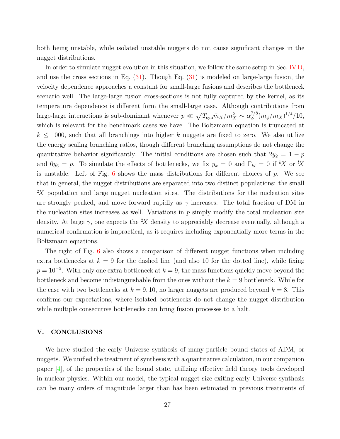both being unstable, while isolated unstable nuggets do not cause significant changes in the nugget distributions.

In order to simulate nugget evolution in this situation, we follow the same setup in Sec. [IV D,](#page-19-0) and use the cross sections in Eq. [\(31\)](#page-20-2). Though Eq. [\(31\)](#page-20-2) is modeled on large-large fusion, the velocity dependence approaches a constant for small-large fusions and describes the bottleneck scenario well. The large-large fusion cross-sections is not fully captured by the kernel, as its temperature dependence is different form the small-large case. Although contributions from large-large interactions is sub-dominant whenever  $p \ll \sqrt{T_{syn}\bar{m}_X/m_X^2} \sim \alpha_{\phi}^{7/8}$  $_\phi^{7/8} (m_\phi/m_X)^{1/4}/10,$ which is relevant for the benchmark cases we have. The Boltzmann equation is truncated at  $k \leq 1000$ , such that all branchings into higher k nuggets are fixed to zero. We also utilize the energy scaling branching ratios, though different branching assumptions do not change the quantitative behavior significantly. The initial conditions are chosen such that  $2y_2 = 1 - p$ and  $6y_6 = p$ . To simulate the effects of bottlenecks, we fix  $y_k = 0$  and  $\Gamma_{kl} = 0$  if  ${}^k\!X$  or  ${}^l\!X$ is unstable. Left of Fig.  $6$  shows the mass distributions for different choices of p. We see that in general, the nugget distributions are separated into two distinct populations: the small <sup>2</sup>X population and large nugget nucleation sites. The distributions for the nucleation sites are strongly peaked, and move forward rapidly as  $\gamma$  increases. The total fraction of DM in the nucleation sites increases as well. Variations in  $p$  simply modify the total nucleation site density. At large  $\gamma$ , one expects the <sup>2</sup>X density to appreciably decrease eventually, although a numerical confirmation is impractical, as it requires including exponentially more terms in the Boltzmann equations.

The right of Fig. [6](#page-27-4) also shows a comparison of different nugget functions when including extra bottlenecks at  $k = 9$  for the dashed line (and also 10 for the dotted line), while fixing  $p = 10^{-5}$ . With only one extra bottleneck at  $k = 9$ , the mass functions quickly move beyond the bottleneck and become indistinguishable from the ones without the  $k = 9$  bottleneck. While for the case with two bottlenecks at  $k = 9, 10$ , no larger nuggets are produced beyond  $k = 8$ . This confirms our expectations, where isolated bottlenecks do not change the nugget distribution while multiple consecutive bottlenecks can bring fusion processes to a halt.

## <span id="page-26-0"></span>V. CONCLUSIONS

We have studied the early Universe synthesis of many-particle bound states of ADM, or nuggets. We unified the treatment of synthesis with a quantitative calculation, in our companion paper [\[4\]](#page-28-1), of the properties of the bound state, utilizing effective field theory tools developed in nuclear physics. Within our model, the typical nugget size exiting early Universe synthesis can be many orders of magnitude larger than has been estimated in previous treatments of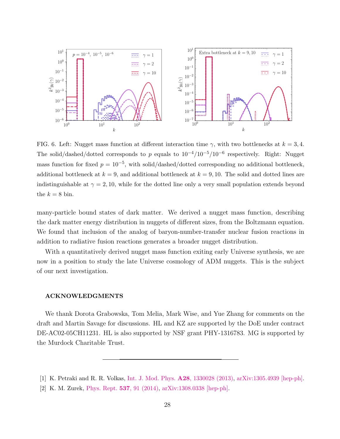

<span id="page-27-4"></span>FIG. 6. Left: Nugget mass function at different interaction time  $\gamma$ , with two bottlenecks at  $k = 3, 4$ . The solid/dashed/dotted corresponds to p equals to  $10^{-4}/10^{-5}/10^{-6}$  respectively. Right: Nugget mass function for fixed  $p = 10^{-5}$ , with solid/dashed/dotted corresponding no additional bottleneck, additional bottleneck at  $k = 9$ , and additional bottleneck at  $k = 9, 10$ . The solid and dotted lines are indistinguishable at  $\gamma = 2, 10$ , while for the dotted line only a very small population extends beyond the  $k = 8$  bin.

many-particle bound states of dark matter. We derived a nugget mass function, describing the dark matter energy distribution in nuggets of different sizes, from the Boltzmann equation. We found that inclusion of the analog of baryon-number-transfer nuclear fusion reactions in addition to radiative fusion reactions generates a broader nugget distribution.

With a quantitatively derived nugget mass function exiting early Universe synthesis, we are now in a position to study the late Universe cosmology of ADM nuggets. This is the subject of our next investigation.

## <span id="page-27-0"></span>ACKNOWLEDGMENTS

We thank Dorota Grabowska, Tom Melia, Mark Wise, and Yue Zhang for comments on the draft and Martin Savage for discussions. HL and KZ are supported by the DoE under contract DE-AC02-05CH11231. HL is also supported by NSF grant PHY-1316783. MG is supported by the Murdock Charitable Trust.

<span id="page-27-3"></span><span id="page-27-2"></span><span id="page-27-1"></span><sup>[1]</sup> K. Petraki and R. R. Volkas, [Int. J. Mod. Phys.](http://dx.doi.org/10.1142/S0217751X13300287) A28, 1330028 (2013), [arXiv:1305.4939 \[hep-ph\].](http://arxiv.org/abs/1305.4939)

<sup>[2]</sup> K. M. Zurek, [Phys. Rept.](http://dx.doi.org/10.1016/j.physrep.2013.12.001) 537, 91 (2014), [arXiv:1308.0338 \[hep-ph\].](http://arxiv.org/abs/1308.0338)